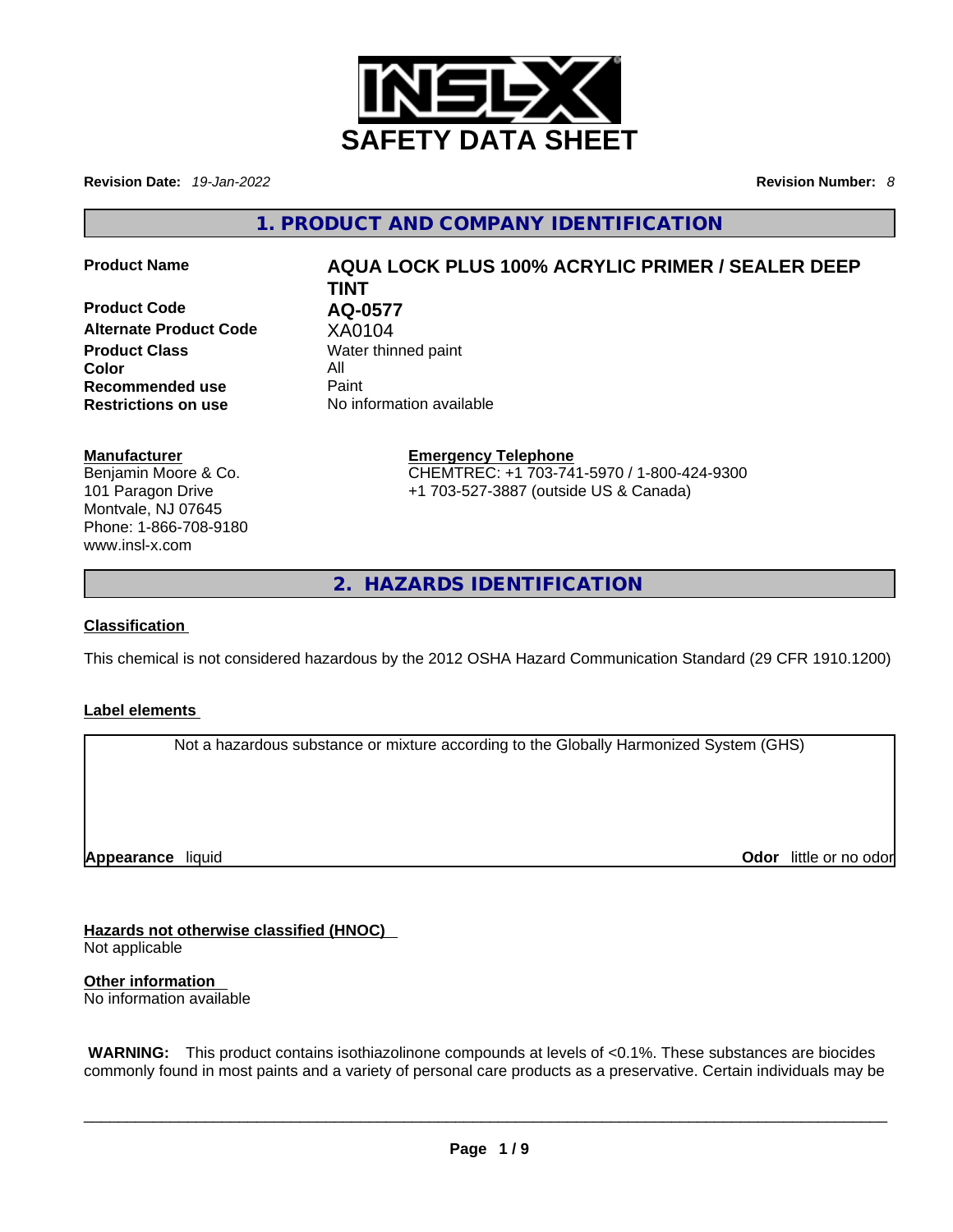

**Revision Date:** *19-Jan-2022* **Revision Number:** *8*

**1. PRODUCT AND COMPANY IDENTIFICATION** 

**Product Code AQ-0577 Alternate Product Code XA0104**<br>**Product Class** Water thin **Color** All **Recommended use** Paint<br> **Restrictions on use** No inf

# **Product Name AQUA LOCK PLUS 100% ACRYLIC PRIMER / SEALER DEEP TINT**

**Water thinned paint Restrictions on use** No information available

### **Manufacturer**

Benjamin Moore & Co. 101 Paragon Drive Montvale, NJ 07645 Phone: 1-866-708-9180 www.insl-x.com

### **Emergency Telephone**

CHEMTREC: +1 703-741-5970 / 1-800-424-9300 +1 703-527-3887 (outside US & Canada)

**2. HAZARDS IDENTIFICATION** 

### **Classification**

This chemical is not considered hazardous by the 2012 OSHA Hazard Communication Standard (29 CFR 1910.1200)

### **Label elements**

Not a hazardous substance or mixture according to the Globally Harmonized System (GHS)

**Appearance** liquid

**Odor** little or no odor

**Hazards not otherwise classified (HNOC)**  Not applicable

**Other information**  No information available

 **WARNING:** This product contains isothiazolinone compounds at levels of <0.1%. These substances are biocides commonly found in most paints and a variety of personal care products as a preservative. Certain individuals may be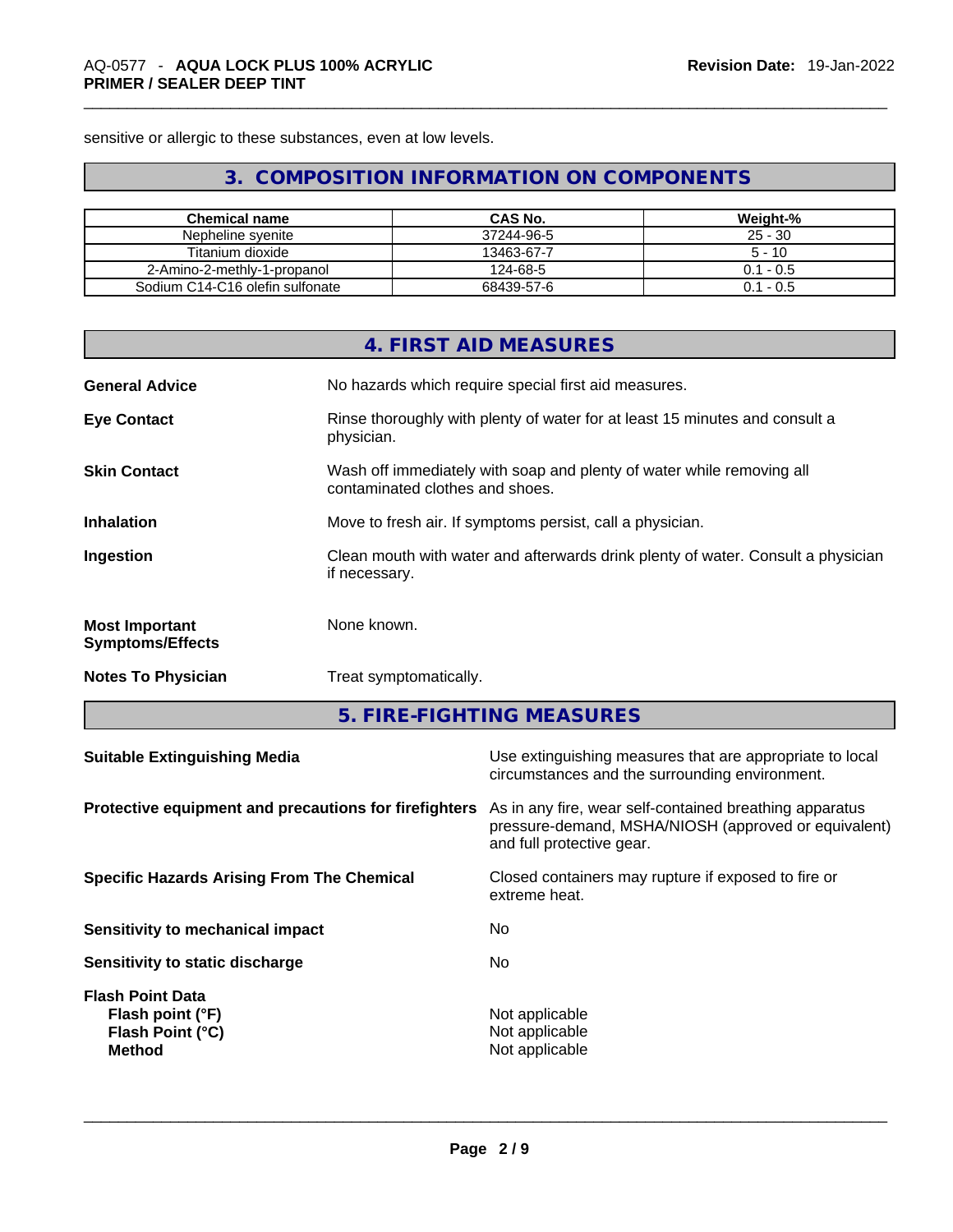sensitive or allergic to these substances, even at low levels.

# **3. COMPOSITION INFORMATION ON COMPONENTS**

| <b>Chemical name</b>            | CAS No.    | Weight-%    |
|---------------------------------|------------|-------------|
| Nepheline syenite               | 37244-96-5 | $25 - 30$   |
| Titanium dioxide                | 13463-67-7 | $5 - 10$    |
| 2-Amino-2-methly-1-propanol     | 124-68-5   | $0.1 - 0.5$ |
| Sodium C14-C16 olefin sulfonate | 68439-57-6 | $0.1 - 0.5$ |

|                                                  | 4. FIRST AID MEASURES                                                                                    |
|--------------------------------------------------|----------------------------------------------------------------------------------------------------------|
| <b>General Advice</b>                            | No hazards which require special first aid measures.                                                     |
| <b>Eye Contact</b>                               | Rinse thoroughly with plenty of water for at least 15 minutes and consult a<br>physician.                |
| <b>Skin Contact</b>                              | Wash off immediately with soap and plenty of water while removing all<br>contaminated clothes and shoes. |
| <b>Inhalation</b>                                | Move to fresh air. If symptoms persist, call a physician.                                                |
| Ingestion                                        | Clean mouth with water and afterwards drink plenty of water. Consult a physician<br>if necessary.        |
| <b>Most Important</b><br><b>Symptoms/Effects</b> | None known.                                                                                              |
| <b>Notes To Physician</b>                        | Treat symptomatically.                                                                                   |

**5. FIRE-FIGHTING MEASURES** 

| <b>Suitable Extinguishing Media</b>                                              | Use extinguishing measures that are appropriate to local<br>circumstances and the surrounding environment.                                   |
|----------------------------------------------------------------------------------|----------------------------------------------------------------------------------------------------------------------------------------------|
| Protective equipment and precautions for firefighters                            | As in any fire, wear self-contained breathing apparatus<br>pressure-demand, MSHA/NIOSH (approved or equivalent)<br>and full protective gear. |
| <b>Specific Hazards Arising From The Chemical</b>                                | Closed containers may rupture if exposed to fire or<br>extreme heat.                                                                         |
| Sensitivity to mechanical impact                                                 | No.                                                                                                                                          |
| Sensitivity to static discharge                                                  | No.                                                                                                                                          |
| <b>Flash Point Data</b><br>Flash point (°F)<br>Flash Point (°C)<br><b>Method</b> | Not applicable<br>Not applicable<br>Not applicable                                                                                           |
|                                                                                  |                                                                                                                                              |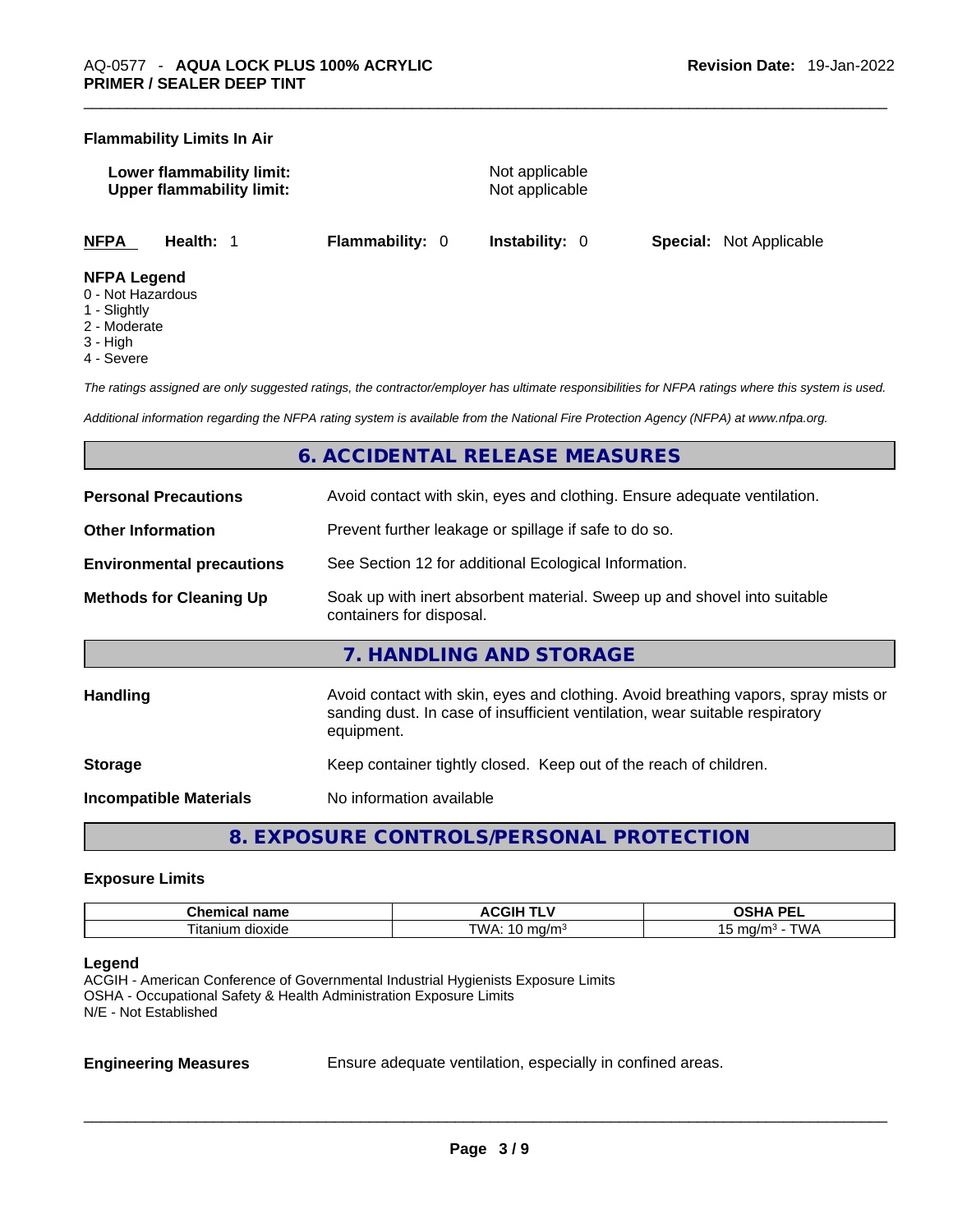### **Flammability Limits In Air**

| Lower flammability limit:<br><b>Upper flammability limit:</b> |           | Not applicable<br>Not applicable |                       |    |
|---------------------------------------------------------------|-----------|----------------------------------|-----------------------|----|
| NFPA                                                          | Health: 1 | <b>Flammability:</b> 0           | <b>Instability:</b> 0 | Sp |

**NFPA Health:** 1 **Flammability:** 0 **Instability:** 0 **Special:** Not Applicable

### **NFPA Legend**

- 0 Not Hazardous
- 1 Slightly
- 2 Moderate
- 3 High
- 4 Severe

*The ratings assigned are only suggested ratings, the contractor/employer has ultimate responsibilities for NFPA ratings where this system is used.* 

*Additional information regarding the NFPA rating system is available from the National Fire Protection Agency (NFPA) at www.nfpa.org.* 

### **6. ACCIDENTAL RELEASE MEASURES**

| <b>Personal Precautions</b>      | Avoid contact with skin, eyes and clothing. Ensure adequate ventilation.                                                                                                         |
|----------------------------------|----------------------------------------------------------------------------------------------------------------------------------------------------------------------------------|
| <b>Other Information</b>         | Prevent further leakage or spillage if safe to do so.                                                                                                                            |
| <b>Environmental precautions</b> | See Section 12 for additional Ecological Information.                                                                                                                            |
| <b>Methods for Cleaning Up</b>   | Soak up with inert absorbent material. Sweep up and shovel into suitable<br>containers for disposal.                                                                             |
|                                  | 7. HANDLING AND STORAGE                                                                                                                                                          |
| <b>Handling</b>                  | Avoid contact with skin, eyes and clothing. Avoid breathing vapors, spray mists or<br>sanding dust. In case of insufficient ventilation, wear suitable respiratory<br>equipment. |
| <b>Storage</b>                   | Keep container tightly closed. Keep out of the reach of children.                                                                                                                |
|                                  |                                                                                                                                                                                  |

**Incompatible Materials** No information available

**8. EXPOSURE CONTROLS/PERSONAL PROTECTION** 

### **Exposure Limits**

| $P_{\rm max}$<br>…ner<br>шсаг<br>паше | . .<br>⊬اف<br>"<br>. | <b>DE</b><br>$\mathbf{r}$<br>-- |
|---------------------------------------|----------------------|---------------------------------|
| ⊓tar<br>n dioxide<br>ាបេក             | <b>TWA</b><br>17     | $ -$<br>∆ו∧ר<br>ma,             |

### **Legend**

ACGIH - American Conference of Governmental Industrial Hygienists Exposure Limits OSHA - Occupational Safety & Health Administration Exposure Limits N/E - Not Established

**Engineering Measures** Ensure adequate ventilation, especially in confined areas.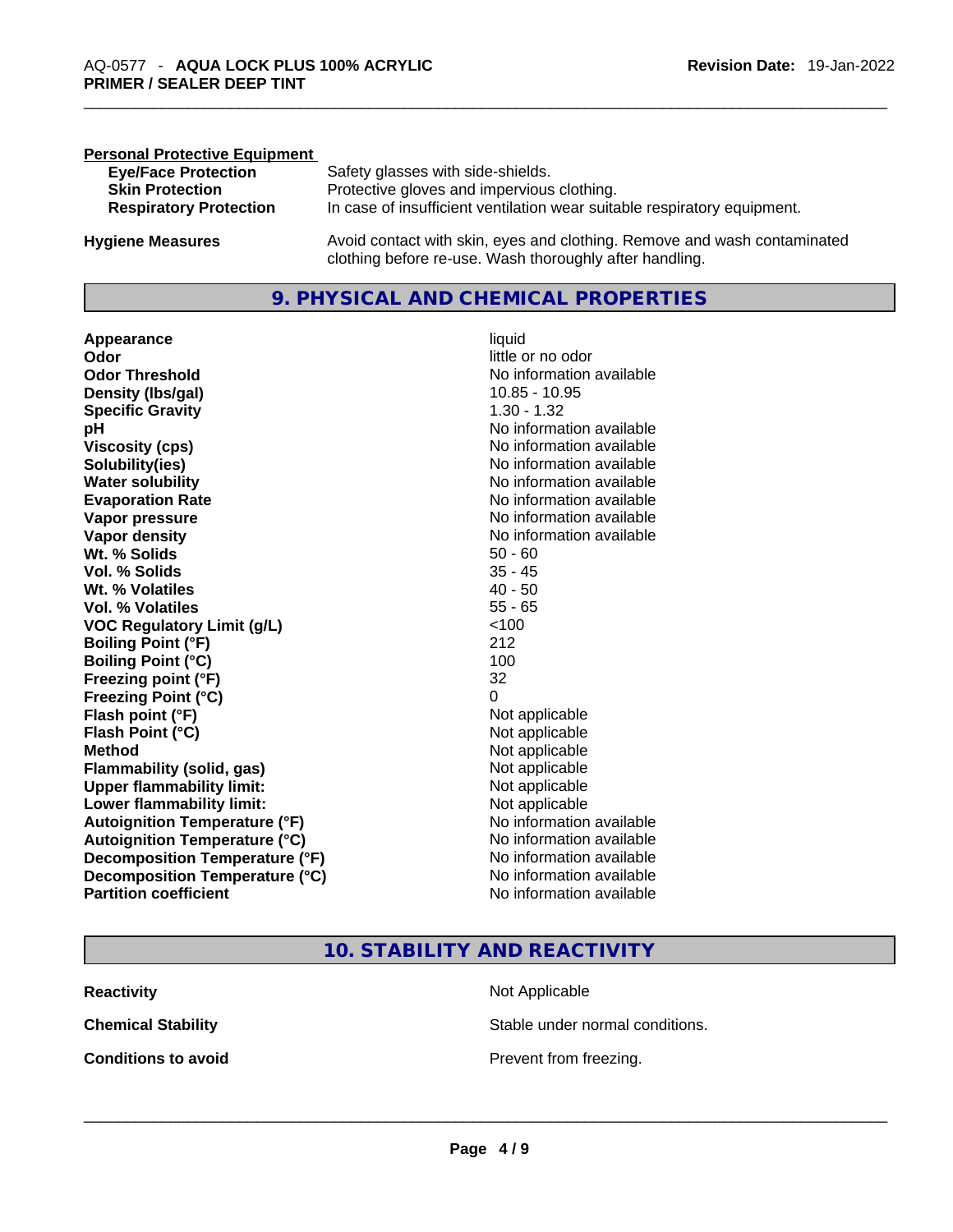| <b>Personal Protective Equipment</b> |                                                                                                                                     |
|--------------------------------------|-------------------------------------------------------------------------------------------------------------------------------------|
| <b>Eye/Face Protection</b>           | Safety glasses with side-shields.                                                                                                   |
| <b>Skin Protection</b>               | Protective gloves and impervious clothing.                                                                                          |
| <b>Respiratory Protection</b>        | In case of insufficient ventilation wear suitable respiratory equipment.                                                            |
| <b>Hygiene Measures</b>              | Avoid contact with skin, eyes and clothing. Remove and wash contaminated<br>clothing before re-use. Wash thoroughly after handling. |

### **9. PHYSICAL AND CHEMICAL PROPERTIES**

**Appearance** liquid **Odor Odor Odor Odor Odor Odor** *little* **or no odor Odor Threshold**<br> **Density (Ibs/gal)**<br> **Density (Ibs/gal)**<br> **No information available**<br>
10.85 - 10.95 **Density (Ibs/gal)** 10.85 - 10.95<br> **Specific Gravity** 1.30 - 1.32 **Specific Gravity pH bH 1 Viscosity (cps) Viscosity (cps) No information available Solubility(ies)**<br> **Water solubility**<br> **Water solubility**<br>
Mo information available **Evaporation Rate No information available No information available Vapor pressure**  No information available **No information** available **Vapor density No information available No** information available **Wt. % Solids** 50 - 60 **Vol. % Solids** 35 - 45 **Wt. % Volatiles Vol. % Volatiles** 55 - 65 **VOC** Regulatory Limit (g/L) **Boiling Point (°F)** 212 **Boiling Point (°C)** 100 **Freezing point (°F)** 32 **Freezing Point (°C)** 0 **Flash point (°F)** Not applicable **Flash Point (°C)** Not applicable **Method** Not applicable **Flammability (solid, gas)** Not applicable **Upper flammability limit:**<br> **Lower flammability limit:**<br>
Not applicable<br>
Not applicable **Lower flammability limit:**<br> **Autoignition Temperature (°F)** Not applicable Not applicable **Autoignition Temperature (°F)**<br> **Autoignition Temperature (°C)** No information available **Autoignition Temperature (°C) Decomposition Temperature (°F)** No information available **Decomposition Temperature (°C)** No information available **Partition coefficient Community Contract Contract Contract Contract Contract Contract Contract Contract Contract Contract Contract Contract Contract Contract Contract Contract Contract Contract Contract Contract Contr** 

# **No information available**

### **10. STABILITY AND REACTIVITY**

| <b>Reactivity</b>          | Not Applicable                  |
|----------------------------|---------------------------------|
| <b>Chemical Stability</b>  | Stable under normal conditions. |
| <b>Conditions to avoid</b> | Prevent from freezing.          |
|                            |                                 |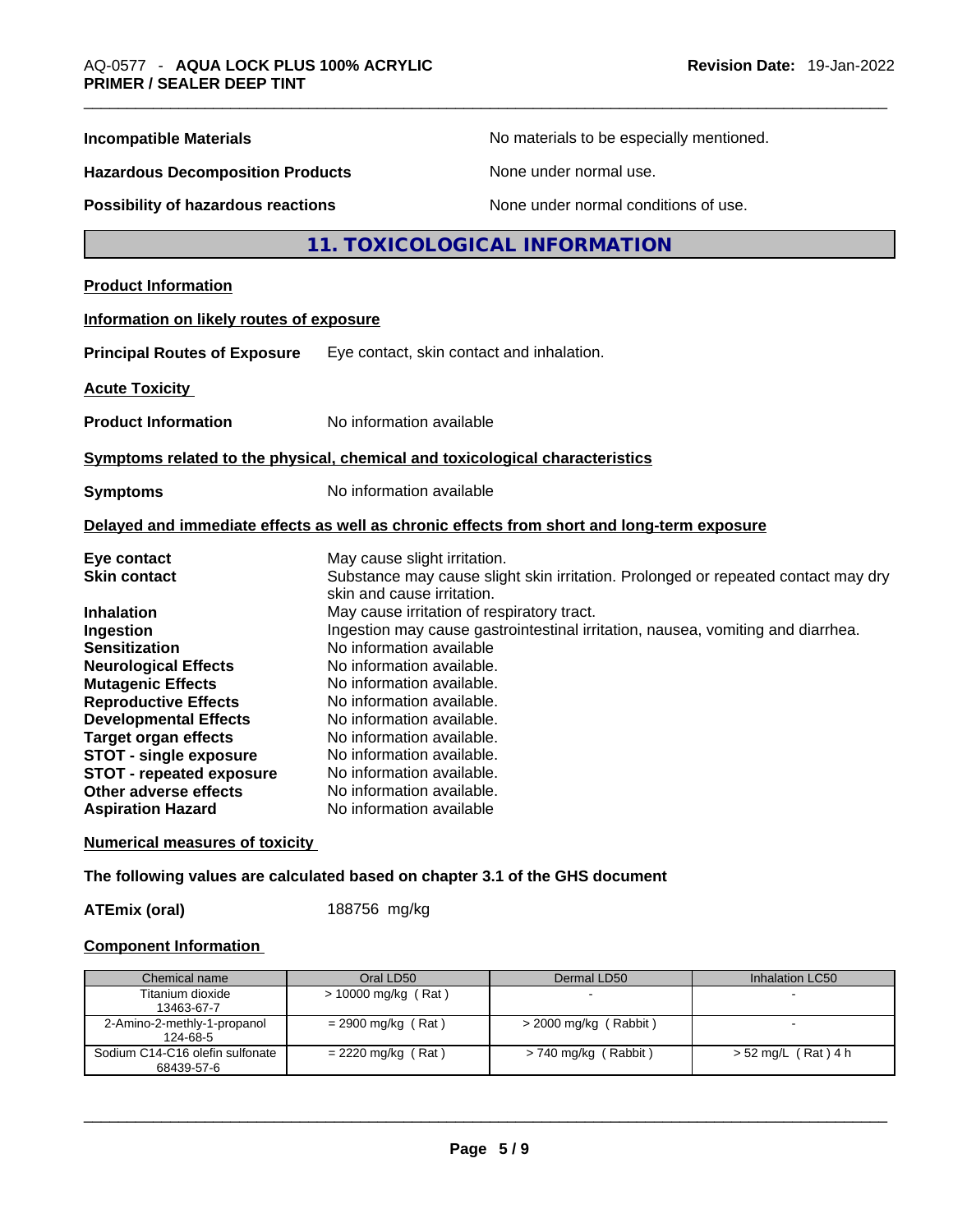| <b>Incompatible Materials</b>                               | No materials to be especially mentioned.                                                                        |
|-------------------------------------------------------------|-----------------------------------------------------------------------------------------------------------------|
| <b>Hazardous Decomposition Products</b>                     | None under normal use.                                                                                          |
| Possibility of hazardous reactions                          | None under normal conditions of use.                                                                            |
|                                                             | 11. TOXICOLOGICAL INFORMATION                                                                                   |
| <b>Product Information</b>                                  |                                                                                                                 |
| Information on likely routes of exposure                    |                                                                                                                 |
| <b>Principal Routes of Exposure</b>                         | Eye contact, skin contact and inhalation.                                                                       |
| <b>Acute Toxicity</b>                                       |                                                                                                                 |
| <b>Product Information</b>                                  | No information available                                                                                        |
|                                                             | Symptoms related to the physical, chemical and toxicological characteristics                                    |
| <b>Symptoms</b>                                             | No information available                                                                                        |
|                                                             | Delayed and immediate effects as well as chronic effects from short and long-term exposure                      |
| Eye contact                                                 | May cause slight irritation.                                                                                    |
| <b>Skin contact</b>                                         | Substance may cause slight skin irritation. Prolonged or repeated contact may dry<br>skin and cause irritation. |
| <b>Inhalation</b>                                           | May cause irritation of respiratory tract.                                                                      |
| Ingestion                                                   | Ingestion may cause gastrointestinal irritation, nausea, vomiting and diarrhea.                                 |
| <b>Sensitization</b>                                        | No information available                                                                                        |
| <b>Neurological Effects</b>                                 | No information available.                                                                                       |
| <b>Mutagenic Effects</b>                                    | No information available.                                                                                       |
| <b>Reproductive Effects</b>                                 | No information available.                                                                                       |
| <b>Developmental Effects</b><br><b>Target organ effects</b> | No information available.<br>No information available.                                                          |
| <b>STOT - single exposure</b>                               | No information available.                                                                                       |
| STOT - repeated exposure                                    | No information available.                                                                                       |
| Other adverse effects                                       | No information available.                                                                                       |
| <b>Aspiration Hazard</b>                                    | No information available                                                                                        |

### **Numerical measures of toxicity**

**The following values are calculated based on chapter 3.1 of the GHS document**

**ATEmix (oral)** 188756 mg/kg

### **Component Information**

| Chemical name                                 | Oral LD50             | Dermal LD50             | Inhalation LC50     |
|-----------------------------------------------|-----------------------|-------------------------|---------------------|
| Titanium dioxide<br>13463-67-7                | $> 10000$ mg/kg (Rat) |                         |                     |
| 2-Amino-2-methly-1-propanol<br>124-68-5       | $= 2900$ mg/kg (Rat)  | $>$ 2000 mg/kg (Rabbit) |                     |
| Sodium C14-C16 olefin sulfonate<br>68439-57-6 | $= 2220$ mg/kg (Rat)  | > 740 mg/kg (Rabbit)    | > 52 mg/L (Rat) 4 h |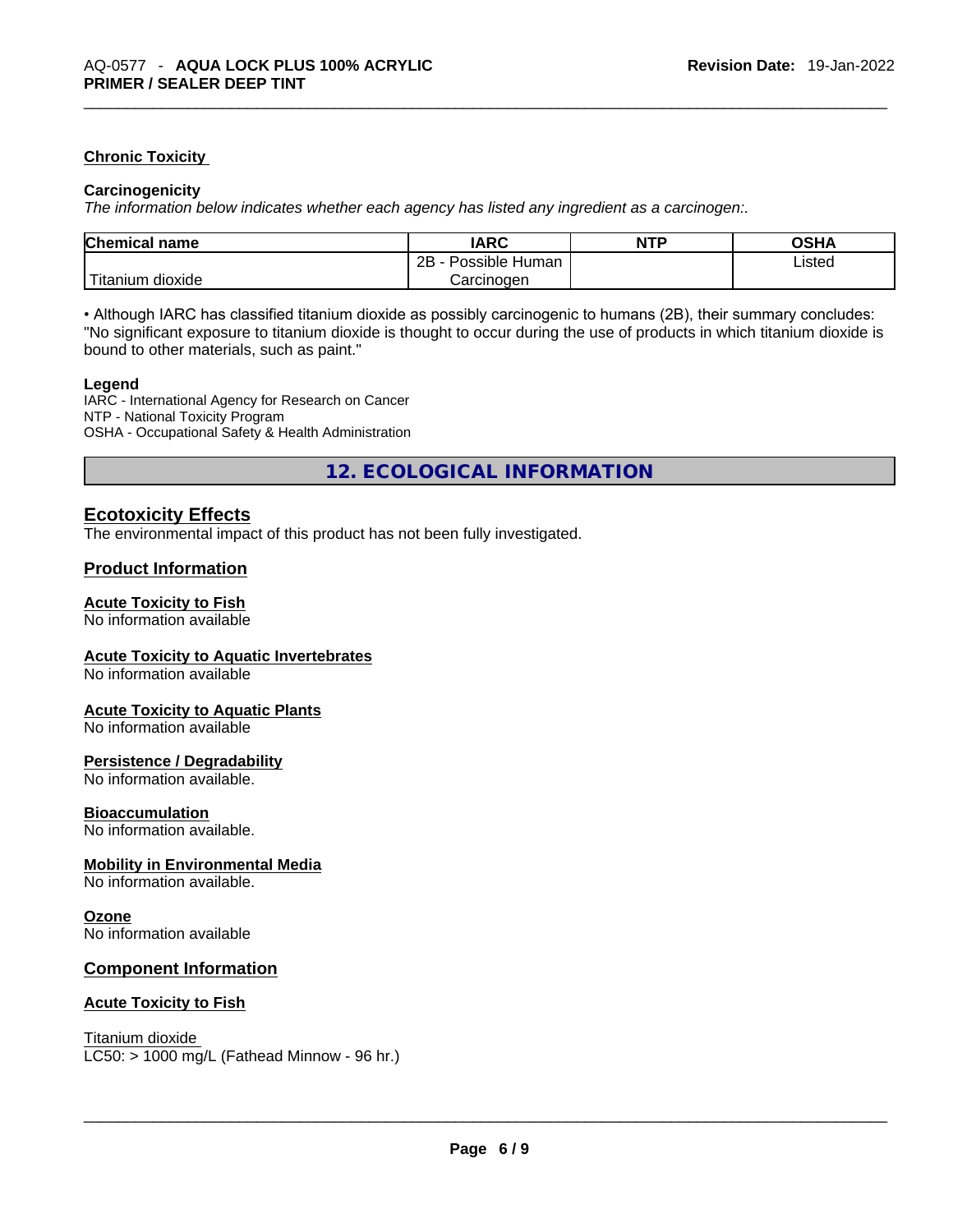### **Chronic Toxicity**

### **Carcinogenicity**

*The information below indicates whether each agency has listed any ingredient as a carcinogen:.* 

| <b>Chemical name</b>  | <b>IARC</b>          | <b>NTP</b> | OSHA   |
|-----------------------|----------------------|------------|--------|
|                       | 2B<br>Possible Human |            | Listed |
| Titanium J<br>dioxide | Carcinogen           |            |        |

• Although IARC has classified titanium dioxide as possibly carcinogenic to humans (2B), their summary concludes: "No significant exposure to titanium dioxide is thought to occur during the use of products in which titanium dioxide is bound to other materials, such as paint."

### **Legend**

IARC - International Agency for Research on Cancer NTP - National Toxicity Program OSHA - Occupational Safety & Health Administration

**12. ECOLOGICAL INFORMATION** 

### **Ecotoxicity Effects**

The environmental impact of this product has not been fully investigated.

### **Product Information**

### **Acute Toxicity to Fish**

No information available

### **Acute Toxicity to Aquatic Invertebrates**

No information available

### **Acute Toxicity to Aquatic Plants**

No information available

### **Persistence / Degradability**

No information available.

### **Bioaccumulation**

No information available.

### **Mobility in Environmental Media**

No information available.

### **Ozone**

No information available

### **Component Information**

### **Acute Toxicity to Fish**

Titanium dioxide

 $LC50:$  > 1000 mg/L (Fathead Minnow - 96 hr.)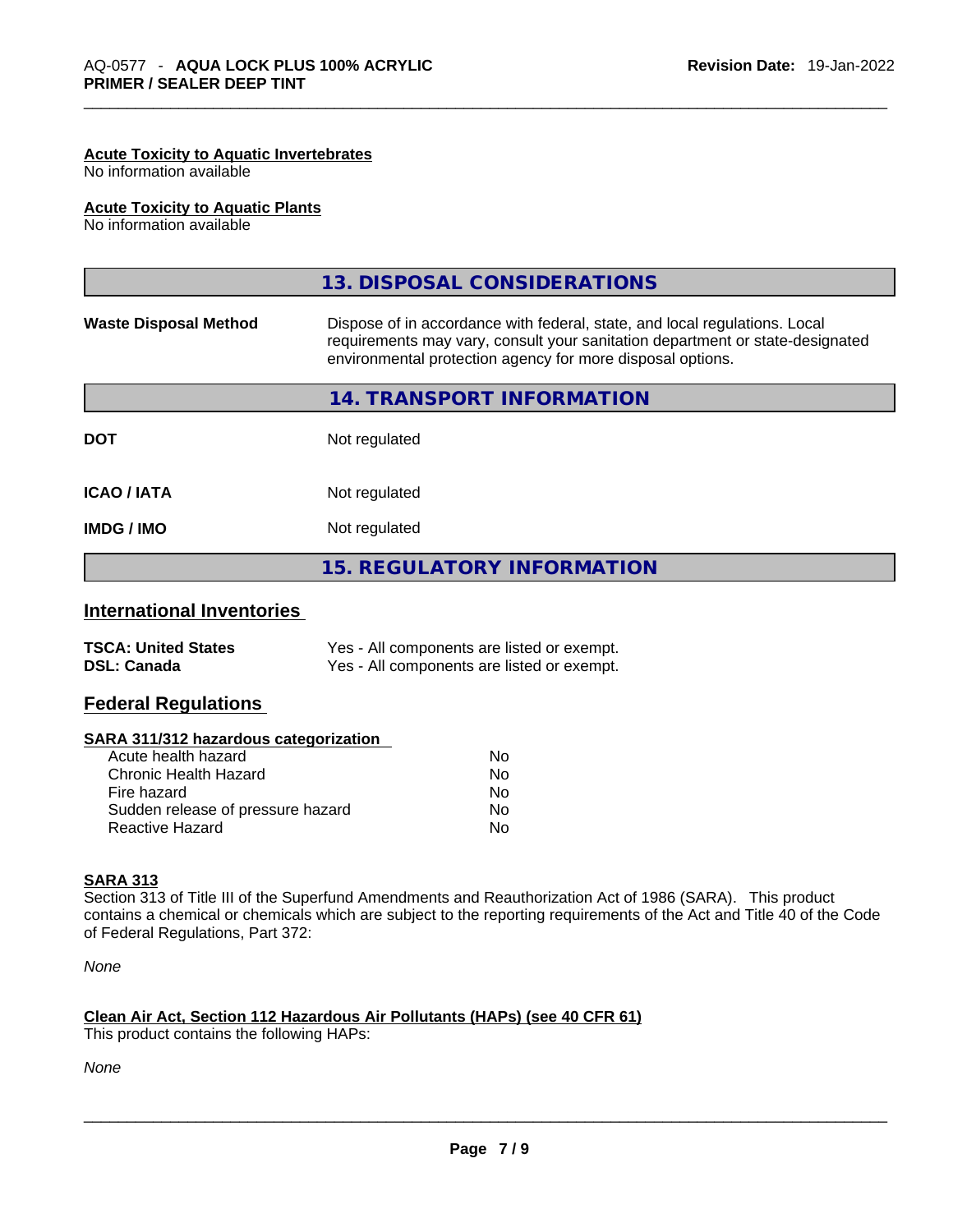### **Acute Toxicity to Aquatic Invertebrates**

No information available

### **Acute Toxicity to Aquatic Plants**

No information available

|                              | 13. DISPOSAL CONSIDERATIONS                                                                                                                                                                                               |
|------------------------------|---------------------------------------------------------------------------------------------------------------------------------------------------------------------------------------------------------------------------|
| <b>Waste Disposal Method</b> | Dispose of in accordance with federal, state, and local regulations. Local<br>requirements may vary, consult your sanitation department or state-designated<br>environmental protection agency for more disposal options. |
|                              | 14. TRANSPORT INFORMATION                                                                                                                                                                                                 |
| <b>DOT</b>                   | Not regulated                                                                                                                                                                                                             |
| <b>ICAO/IATA</b>             | Not regulated                                                                                                                                                                                                             |
| <b>IMDG / IMO</b>            | Not regulated                                                                                                                                                                                                             |
|                              | <b>15. REGULATORY INFORMATION</b>                                                                                                                                                                                         |
|                              |                                                                                                                                                                                                                           |

### **International Inventories**

| <b>TSCA: United States</b> | Yes - All components are listed or exempt. |
|----------------------------|--------------------------------------------|
| <b>DSL: Canada</b>         | Yes - All components are listed or exempt. |

### **Federal Regulations**

### **SARA 311/312 hazardous categorization**

| Acute health hazard               | No |
|-----------------------------------|----|
| Chronic Health Hazard             | Nο |
| Fire hazard                       | Nο |
| Sudden release of pressure hazard | Nο |
| Reactive Hazard                   | N٥ |

### **SARA 313**

Section 313 of Title III of the Superfund Amendments and Reauthorization Act of 1986 (SARA). This product contains a chemical or chemicals which are subject to the reporting requirements of the Act and Title 40 of the Code of Federal Regulations, Part 372:

*None*

### **Clean Air Act,Section 112 Hazardous Air Pollutants (HAPs) (see 40 CFR 61)**

This product contains the following HAPs: \_\_\_\_\_\_\_\_\_\_\_\_\_\_\_\_\_\_\_\_\_\_\_\_\_\_\_\_\_\_\_\_\_\_\_\_\_\_\_\_\_\_\_\_\_\_\_\_\_\_\_\_\_\_\_\_\_\_\_\_\_\_\_\_\_\_\_\_\_\_\_\_\_\_\_\_\_\_\_\_\_\_\_\_\_\_\_\_\_\_\_\_\_

*None*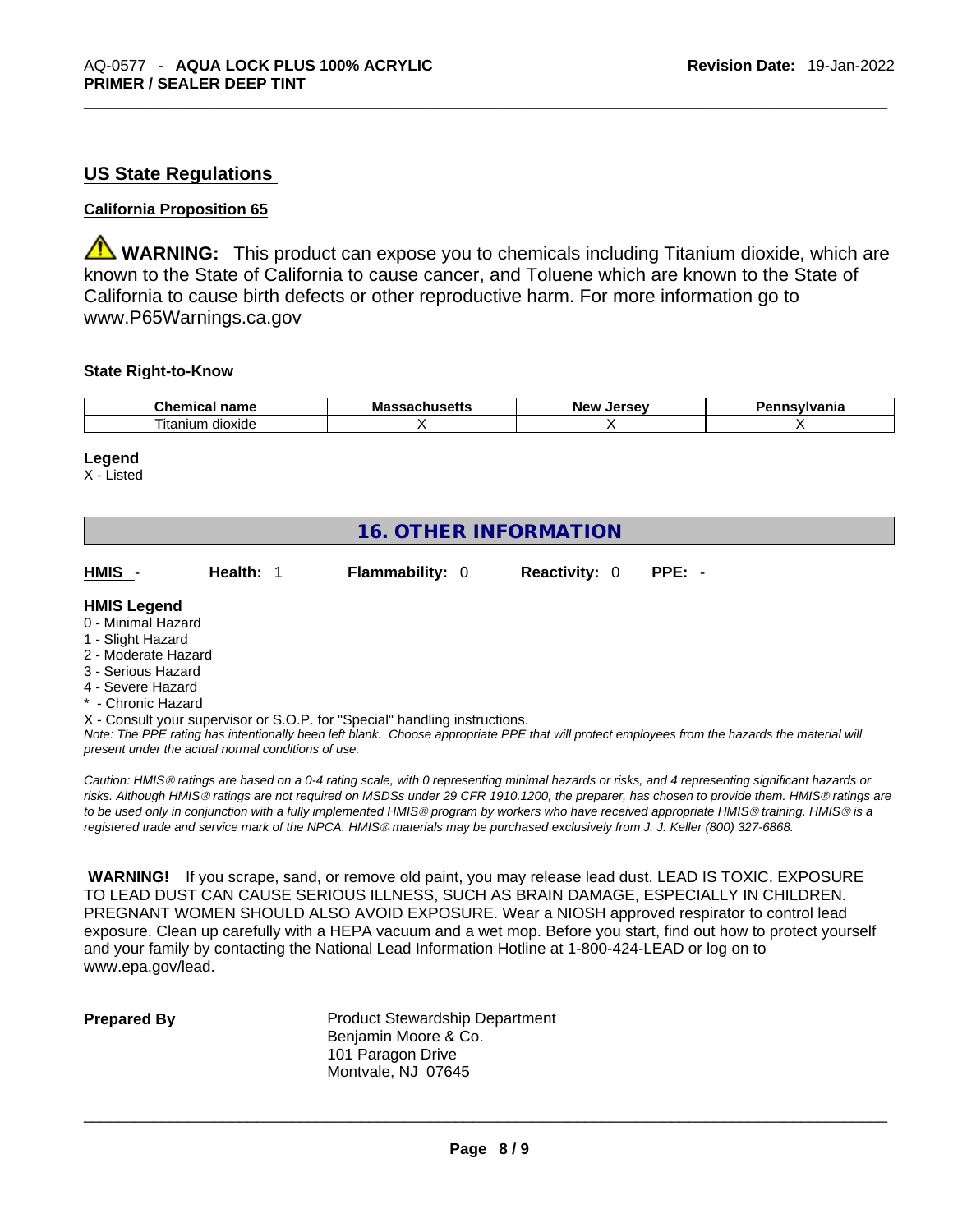### **US State Regulations**

### **California Proposition 65**

**WARNING:** This product can expose you to chemicals including Titanium dioxide, which are known to the State of California to cause cancer, and Toluene which are known to the State of California to cause birth defects or other reproductive harm. For more information go to www.P65Warnings.ca.gov

### **State Right-to-Know**

| Chemi<br>$-$<br>name<br>нса | Ma:<br>- - -<br>. | ------<br>Nev<br>ים ו<br>. . | .novibranie<br>Ήο |
|-----------------------------|-------------------|------------------------------|-------------------|
| dioxide<br>itanium          |                   |                              |                   |

### **Legend**

X - Listed

## **16. OTHER INFORMATION**

| HMIS -<br>Health: 1 | <b>Flammability: 0</b> |  | <b>Reactivity: 0 PPE: -</b> |  |  |
|---------------------|------------------------|--|-----------------------------|--|--|
|---------------------|------------------------|--|-----------------------------|--|--|

### **HMIS Legend**

- 0 Minimal Hazard
- 1 Slight Hazard
- 2 Moderate Hazard
- 3 Serious Hazard
- 4 Severe Hazard
- \* Chronic Hazard
- X Consult your supervisor or S.O.P. for "Special" handling instructions.

Note: The PPE rating has intentionally been left blank. Choose appropriate PPE that will protect employees from the hazards the material will *present under the actual normal conditions of use.* 

*Caution: HMISÒ ratings are based on a 0-4 rating scale, with 0 representing minimal hazards or risks, and 4 representing significant hazards or risks. Although HMISÒ ratings are not required on MSDSs under 29 CFR 1910.1200, the preparer, has chosen to provide them. HMISÒ ratings are to be used only in conjunction with a fully implemented HMISÒ program by workers who have received appropriate HMISÒ training. HMISÒ is a registered trade and service mark of the NPCA. HMISÒ materials may be purchased exclusively from J. J. Keller (800) 327-6868.* 

 **WARNING!** If you scrape, sand, or remove old paint, you may release lead dust. LEAD IS TOXIC. EXPOSURE TO LEAD DUST CAN CAUSE SERIOUS ILLNESS, SUCH AS BRAIN DAMAGE, ESPECIALLY IN CHILDREN. PREGNANT WOMEN SHOULD ALSO AVOID EXPOSURE.Wear a NIOSH approved respirator to control lead exposure. Clean up carefully with a HEPA vacuum and a wet mop. Before you start, find out how to protect yourself and your family by contacting the National Lead Information Hotline at 1-800-424-LEAD or log on to www.epa.gov/lead.

**Prepared By Product Stewardship Department** Benjamin Moore & Co. 101 Paragon Drive Montvale, NJ 07645